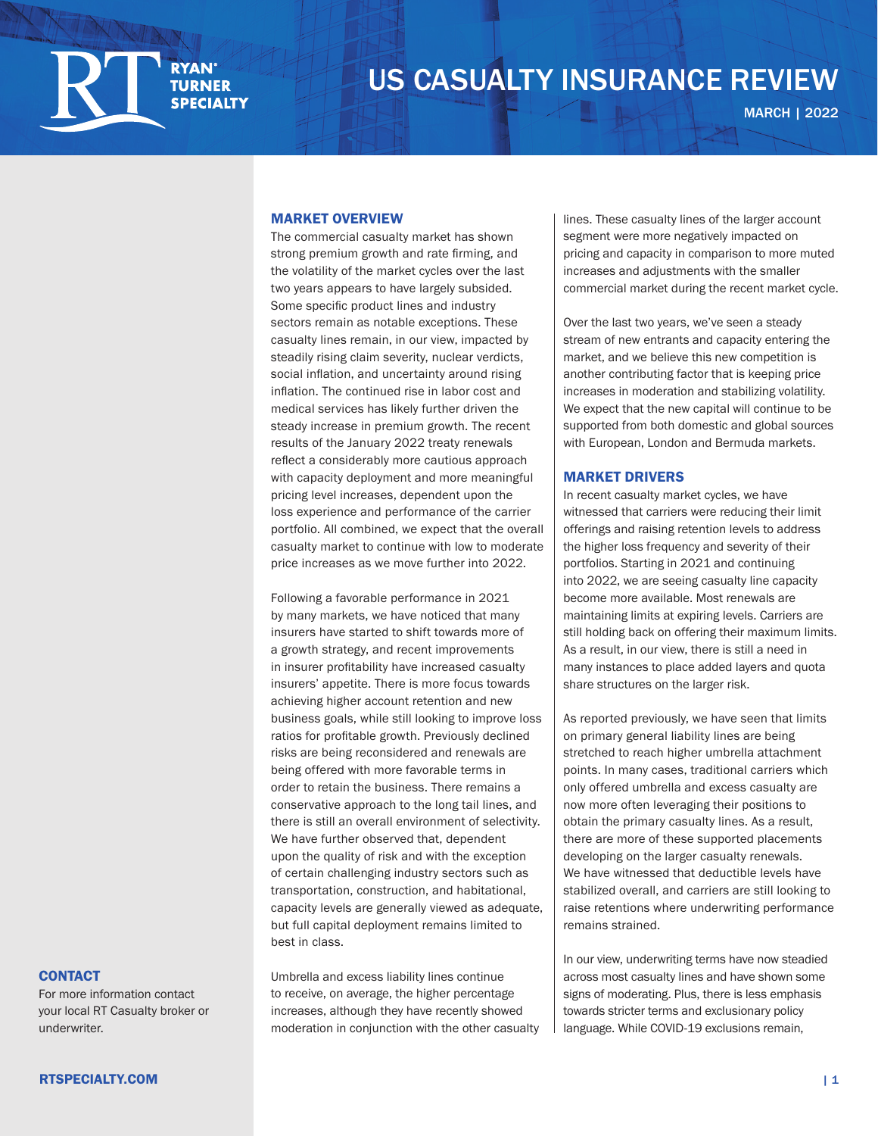

# US CASUALTY INSURANCE REVIEW US CASUALTY INSURANCE REVIEW

MARCH | 2022

#### MARKET OVERVIEW

The commercial casualty market has shown strong premium growth and rate firming, and the volatility of the market cycles over the last two years appears to have largely subsided. Some specific product lines and industry sectors remain as notable exceptions. These casualty lines remain, in our view, impacted by steadily rising claim severity, nuclear verdicts, social inflation, and uncertainty around rising inflation. The continued rise in labor cost and medical services has likely further driven the steady increase in premium growth. The recent results of the January 2022 treaty renewals reflect a considerably more cautious approach with capacity deployment and more meaningful pricing level increases, dependent upon the loss experience and performance of the carrier portfolio. All combined, we expect that the overall casualty market to continue with low to moderate price increases as we move further into 2022.

Following a favorable performance in 2021 by many markets, we have noticed that many insurers have started to shift towards more of a growth strategy, and recent improvements in insurer profitability have increased casualty insurers' appetite. There is more focus towards achieving higher account retention and new business goals, while still looking to improve loss ratios for profitable growth. Previously declined risks are being reconsidered and renewals are being offered with more favorable terms in order to retain the business. There remains a conservative approach to the long tail lines, and there is still an overall environment of selectivity. We have further observed that, dependent upon the quality of risk and with the exception of certain challenging industry sectors such as transportation, construction, and habitational, capacity levels are generally viewed as adequate, but full capital deployment remains limited to best in class.

Umbrella and excess liability lines continue to receive, on average, the higher percentage increases, although they have recently showed moderation in conjunction with the other casualty

lines. These casualty lines of the larger account segment were more negatively impacted on pricing and capacity in comparison to more muted increases and adjustments with the smaller commercial market during the recent market cycle.

Over the last two years, we've seen a steady stream of new entrants and capacity entering the market, and we believe this new competition is another contributing factor that is keeping price increases in moderation and stabilizing volatility. We expect that the new capital will continue to be supported from both domestic and global sources with European, London and Bermuda markets.

## MARKET DRIVERS

In recent casualty market cycles, we have witnessed that carriers were reducing their limit offerings and raising retention levels to address the higher loss frequency and severity of their portfolios. Starting in 2021 and continuing into 2022, we are seeing casualty line capacity become more available. Most renewals are maintaining limits at expiring levels. Carriers are still holding back on offering their maximum limits. As a result, in our view, there is still a need in many instances to place added layers and quota share structures on the larger risk.

As reported previously, we have seen that limits on primary general liability lines are being stretched to reach higher umbrella attachment points. In many cases, traditional carriers which only offered umbrella and excess casualty are now more often leveraging their positions to obtain the primary casualty lines. As a result, there are more of these supported placements developing on the larger casualty renewals. We have witnessed that deductible levels have stabilized overall, and carriers are still looking to raise retentions where underwriting performance remains strained.

In our view, underwriting terms have now steadied across most casualty lines and have shown some signs of moderating. Plus, there is less emphasis towards stricter terms and exclusionary policy language. While COVID-19 exclusions remain,

## **CONTACT**

For more information contact [your local RT Casualty broker or](https://rtspecialty.com/find-a-broker/?casualty)  underwriter.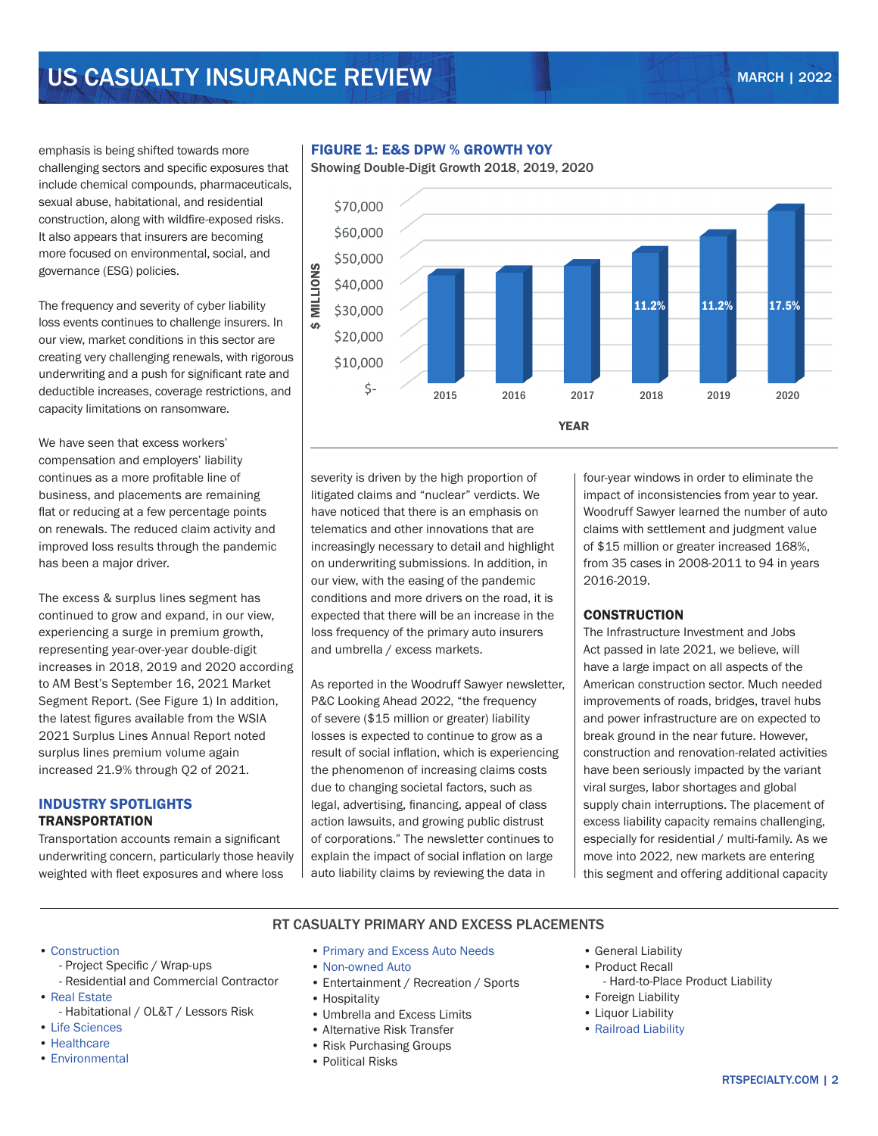# US CASUALTY INSURANCE REVIEW MARCH 12022

emphasis is being shifted towards more challenging sectors and specific exposures that include chemical compounds, pharmaceuticals, sexual abuse, habitational, and residential construction, along with wildfire-exposed risks. It also appears that insurers are becoming more focused on environmental, social, and governance (ESG) policies.

The frequency and severity of cyber liability loss events continues to challenge insurers. In our view, market conditions in this sector are creating very challenging renewals, with rigorous underwriting and a push for significant rate and deductible increases, coverage restrictions, and capacity limitations on ransomware.

We have seen that excess workers' compensation and employers' liability continues as a more profitable line of business, and placements are remaining flat or reducing at a few percentage points on renewals. The reduced claim activity and improved loss results through the pandemic has been a major driver.

The excess & surplus lines segment has continued to grow and expand, in our view, experiencing a surge in premium growth, representing year-over-year double-digit increases in 2018, 2019 and 2020 according to AM Best's September 16, 2021 Market Segment Report. (See Figure 1) In addition, the latest figures available from the WSIA 2021 Surplus Lines Annual Report noted surplus lines premium volume again increased 21.9% through Q2 of 2021.

## INDUSTRY SPOTLIGHTS **TRANSPORTATION**

Transportation accounts remain a significant underwriting concern, particularly those heavily weighted with fleet exposures and where loss

## FIGURE 1: E&S DPW % GROWTH YOY

Showing Double-Digit Growth 2018, 2019, 2020



severity is driven by the high proportion of litigated claims and "nuclear" verdicts. We have noticed that there is an emphasis on telematics and other innovations that are increasingly necessary to detail and highlight on underwriting submissions. In addition, in our view, with the easing of the pandemic conditions and more drivers on the road, it is expected that there will be an increase in the loss frequency of the primary auto insurers and umbrella / excess markets.

As reported in the Woodruff Sawyer newsletter, P&C Looking Ahead 2022, "the frequency of severe (\$15 million or greater) liability losses is expected to continue to grow as a result of social inflation, which is experiencing the phenomenon of increasing claims costs due to changing societal factors, such as legal, advertising, financing, appeal of class action lawsuits, and growing public distrust of corporations." The newsletter continues to explain the impact of social inflation on large auto liability claims by reviewing the data in

four-year windows in order to eliminate the impact of inconsistencies from year to year. Woodruff Sawyer learned the number of auto claims with settlement and judgment value of \$15 million or greater increased 168%, from 35 cases in 2008-2011 to 94 in years 2016-2019.

## **CONSTRUCTION**

The Infrastructure Investment and Jobs Act passed in late 2021, we believe, will have a large impact on all aspects of the American construction sector. Much needed improvements of roads, bridges, travel hubs and power infrastructure are on expected to break ground in the near future. However, construction and renovation-related activities have been seriously impacted by the variant viral surges, labor shortages and global supply chain interruptions. The placement of excess liability capacity remains challenging, especially for residential / multi-family. As we move into 2022, new markets are entering this segment and offering additional capacity

### RT CASUALTY PRIMARY AND EXCESS PLACEMENTS

- [Construction](https://rtspecialty.com/product/construction/)
	- Project Specific / Wrap-ups
	- Residential and Commercial Contractor
- [Real Estate](https://rtspecialty.com/product/real-estate/)
	- Habitational / OL&T / Lessors Risk
- [Life Sciences](https://rtspecialty.com/product/lifesciences/)
- [Healthcare](https://rtspecialty.com/product/healthcare/)
- [Environmental](https://rtspecialty.com/product/environmental-construction-professional-liability/)
- [Primary and Excess Auto Needs](https://rtspecialty.com/product/transportation/)
- Non-owned Auto
- Entertainment / Recreation / Sports
- Hospitality
- Umbrella and Excess Limits
- Alternative Risk Transfer
- Risk Purchasing Groups
- Political Risks
- General Liability
- Product Recall
	- Hard-to-Place Product Liability
- Foreign Liability
- Liquor Liability
- [Railroad Liability](https://rtspecialty.com/product/transportation/)